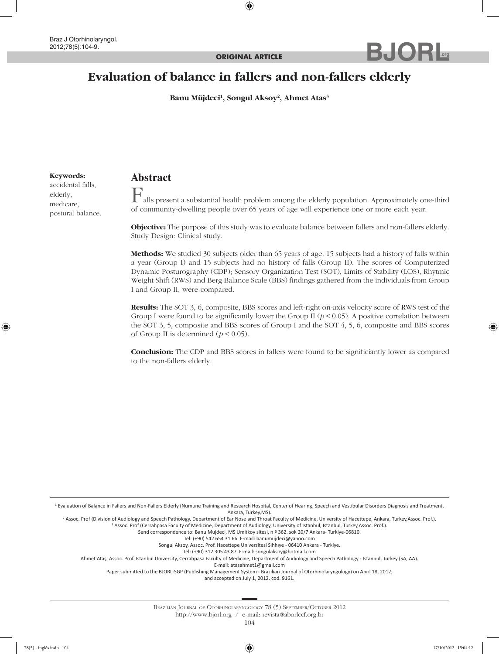# **Evaluation of balance in fallers and non-fallers elderly**

**Banu Müjdeci1 , Songul Aksoy2 , Ahmet Atas3**

#### **Keywords:**

accidental falls, elderly, medicare, postural balance.

# **Abstract**

 $\mathbf{F}_{\text{alls present a substantial health problem among the elderly population. Approximately one-third}$ of community-dwelling people over 65 years of age will experience one or more each year.

**.org**

**Objective:** The purpose of this study was to evaluate balance between fallers and non-fallers elderly. Study Design: Clinical study.

**Methods:** We studied 30 subjects older than 65 years of age. 15 subjects had a history of falls within a year (Group I) and 15 subjects had no history of falls (Group II). The scores of Computerized Dynamic Posturography (CDP); Sensory Organization Test (SOT), Limits of Stability (LOS), Rhytmic Weight Shift (RWS) and Berg Balance Scale (BBS) findings gathered from the individuals from Group I and Group II, were compared.

**Results:** The SOT 3, 6, composite, BBS scores and left-right on-axis velocity score of RWS test of the Group I were found to be significantly lower the Group II ( $p < 0.05$ ). A positive correlation between the SOT 3, 5, composite and BBS scores of Group I and the SOT 4, 5, 6, composite and BBS scores of Group II is determined  $(p < 0.05)$ .

**Conclusion:** The CDP and BBS scores in fallers were found to be significiantly lower as compared to the non-fallers elderly.

<sup>1</sup> Evaluation of Balance in Fallers and Non-Fallers Elderly (Numune Training and Research Hospital, Center of Hearing, Speech and Vestibular Disorders Diagnosis and Treatment, Ankara, Turkey,MS).

2 Assoc. Prof (Division of Audiology and Speech Pathology, Department of Ear Nose and Throat Faculty of Medicine, University of Hacettepe, Ankara, Turkey,Assoc. Prof.).

<sup>3</sup> Assoc. Prof (Cerrahpasa Faculty of Medicine, Department of Audiology, University of Istanbul, Istanbul, Turkey,Assoc. Prof.). Send correspondence to: Banu Mujdeci, MS Umitkoy sitesi, n º 362. sok 20/7 Ankara- Turkiye-06810.

Tel: (+90) 542 654 31 66. E-mail: banumujdeci@yahoo.com

Songul Aksoy, Assoc. Prof. Hacettepe Universitesi Sıhhıye - 06410 Ankara - Turkiye.

Tel: (+90) 312 305 43 87. E-mail: songulaksoy@hotmail.com

Ahmet Ataş, Assoc. Prof. Istanbul University, Cerrahpasa Faculty of Medicine, Department of Audiology and Speech Pathology - Istanbul, Turkey (SA, AA).

E-mail: atasahmet1@gmail.com

Paper submitted to the BJORL-SGP (Publishing Management System - Brazilian Journal of Otorhinolaryngology) on April 18, 2012;

and accepted on July 1, 2012. cod. 9161.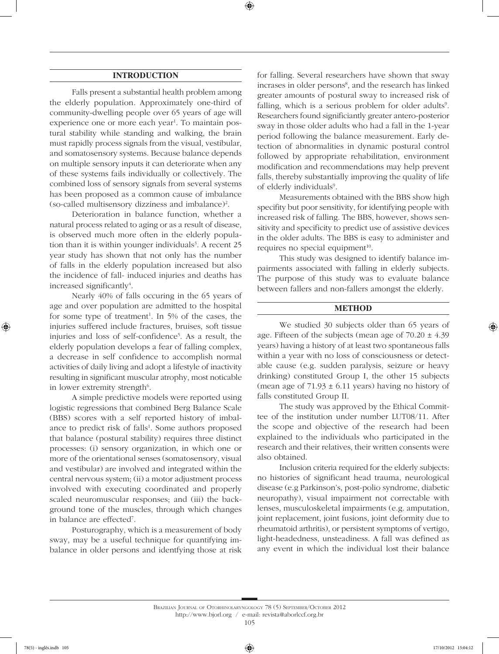# **INTRODUCTION**

Falls present a substantial health problem among the elderly population. Approximately one-third of community-dwelling people over 65 years of age will experience one or more each year<sup>1</sup>. To maintain postural stability while standing and walking, the brain must rapidly process signals from the visual, vestibular, and somatosensory systems. Because balance depends on multiple sensory inputs it can deteriorate when any of these systems fails individually or collectively. The combined loss of sensory signals from several systems has been proposed as a common cause of imbalance (so-called multisensory dizziness and imbalance)2 .

Deterioration in balance function, whether a natural process related to aging or as a result of disease, is observed much more often in the elderly population than it is within younger individuals<sup>3</sup>. A recent  $25$ year study has shown that not only has the number of falls in the elderly population increased but also the incidence of fall- induced injuries and deaths has increased significantly<sup>4</sup>.

Nearly 40% of falls occuring in the 65 years of age and over population are admitted to the hospital for some type of treatment<sup>1</sup>. In 5% of the cases, the injuries suffered include fractures, bruises, soft tissue injuries and loss of self-confidence<sup>5</sup>. As a result, the elderly population develops a fear of falling complex, a decrease in self confidence to accomplish normal activities of daily living and adopt a lifestyle of inactivity resulting in significant muscular atrophy, most noticable in lower extremity strength<sup>6</sup>.

A simple predictive models were reported using logistic regressions that combined Berg Balance Scale (BBS) scores with a self reported history of imbalance to predict risk of falls<sup>1</sup>. Some authors proposed that balance (postural stability) requires three distinct processes: (i) sensory organization, in which one or more of the orientational senses (somatosensory, visual and vestibular) are involved and integrated within the central nervous system; (ii) a motor adjustment process involved with executing coordinated and properly scaled neuromuscular responses; and (iii) the background tone of the muscles, through which changes in balance are effected7 .

Posturography, which is a measurement of body sway, may be a useful technique for quantifying imbalance in older persons and identfying those at risk for falling. Several researchers have shown that sway incrases in older persons<sup>8</sup>, and the research has linked greater amounts of postural sway to increased risk of falling, which is a serious problem for older adults<sup>9</sup>. Researchers found significiantly greater antero-posterior sway in those older adults who had a fall in the 1-year period following the balance measurement. Early detection of abnormalities in dynamic postural control followed by appropriate rehabilitation, environment modification and recommendations may help prevent falls, thereby substantially improving the quality of life of elderly individuals<sup>9</sup>.

Measurements obtained with the BBS show high specifity but poor sensitivity, for identifying people with increased risk of falling. The BBS, however, shows sensitivity and specificity to predict use of assistive devices in the older adults. The BBS is easy to administer and requires no special equipment $10$ .

This study was designed to identify balance impairments associated with falling in elderly subjects. The purpose of this study was to evaluate balance between fallers and non-fallers amongst the elderly.

#### **METHOD**

We studied 30 subjects older than 65 years of age. Fifteen of the subjects (mean age of  $70.20 \pm 4.39$ ) years) having a history of at least two spontaneous falls within a year with no loss of consciousness or detectable cause (e.g. sudden paralysis, seizure or heavy drinking) constituted Group I, the other 15 subjects (mean age of  $71.93 \pm 6.11$  years) having no history of falls constituted Group II.

The study was approved by the Ethical Committee of the institution under number LUT08/11. After the scope and objective of the research had been explained to the individuals who participated in the research and their relatives, their written consents were also obtained.

Inclusion criteria required for the elderly subjects: no histories of significant head trauma, neurological disease (e.g Parkinson's, post-polio syndrome, diabetic neuropathy), visual impairment not correctable with lenses, musculoskeletal impairments (e.g. amputation, joint replacement, joint fusions, joint deformity due to rheumatoid arthritis), or persistent symptoms of vertigo, light-headedness, unsteadiness. A fall was defined as any event in which the individual lost their balance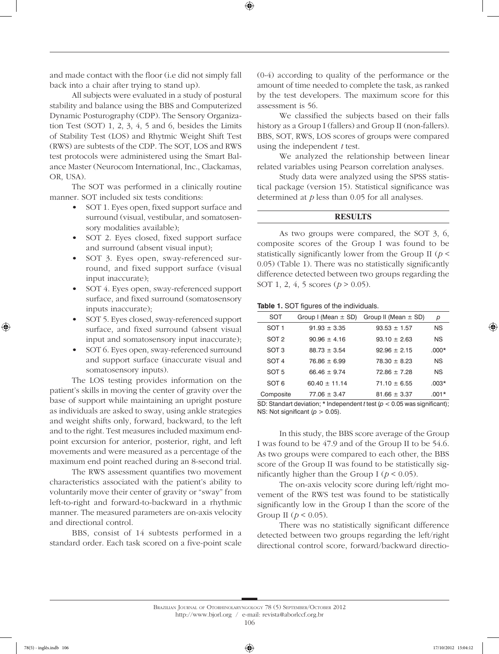and made contact with the floor (i.e did not simply fall back into a chair after trying to stand up).

All subjects were evaluated in a study of postural stability and balance using the BBS and Computerized Dynamic Posturography (CDP). The Sensory Organization Test (SOT) 1, 2, 3, 4, 5 and 6, besides the Limits of Stability Test (LOS) and Rhytmic Weight Shift Test (RWS) are subtests of the CDP. The SOT, LOS and RWS test protocols were administered using the Smart Balance Master (Neurocom International, Inc., Clackamas, OR, USA).

The SOT was performed in a clinically routine manner. SOT included six tests conditions:

- SOT 1. Eyes open, fixed support surface and surround (visual, vestibular, and somatosensory modalities available);
- • SOT 2. Eyes closed, fixed support surface and surround (absent visual input);
- SOT 3. Eyes open, sway-referenced surround, and fixed support surface (visual input inaccurate);
- SOT 4. Eyes open, sway-referenced support surface, and fixed surround (somatosensory inputs inaccurate);
- • SOT 5. Eyes closed, sway-referenced support surface, and fixed surround (absent visual input and somatosensory input inaccurate);
- SOT 6. Eyes open, sway-referenced surround and support surface (inaccurate visual and somatosensory inputs).

The LOS testing provides information on the patient's skills in moving the center of gravity over the base of support while maintaining an upright posture as individuals are asked to sway, using ankle strategies and weight shifts only, forward, backward, to the left and to the right. Test measures included maximum endpoint excursion for anterior, posterior, right, and left movements and were measured as a percentage of the maximum end point reached during an 8-second trial.

The RWS assessment quantifies two movement characteristics associated with the patient's ability to voluntarily move their center of gravity or "sway" from left-to-right and forward-to-backward in a rhythmic manner. The measured parameters are on-axis velocity and directional control.

BBS, consist of 14 subtests performed in a standard order. Each task scored on a five-point scale (0-4) according to quality of the performance or the amount of time needed to complete the task, as ranked by the test developers. The maximum score for this assessment is 56.

We classified the subjects based on their falls history as a Group I (fallers) and Group II (non-fallers). BBS, SOT, RWS, LOS scores of groups were compared using the independent *t* test.

We analyzed the relationship between linear related variables using Pearson correlation analyses.

Study data were analyzed using the SPSS statistical package (version 15). Statistical significance was determined at *p* less than 0.05 for all analyses.

### **RESULTS**

As two groups were compared, the SOT 3, 6, composite scores of the Group I was found to be statistically significantly lower from the Group II (*p <*  0.05) (Table 1). There was no statistically significantly difference detected between two groups regarding the SOT 1, 2, 4, 5 scores (*p* > 0.05).

**Table 1.** SOT figures of the individuals.

| SOT              |                 | Group I (Mean $\pm$ SD) Group II (Mean $\pm$ SD) | р         |
|------------------|-----------------|--------------------------------------------------|-----------|
| SOT <sub>1</sub> | $91.93 + 3.35$  | $93.53 + 1.57$                                   | <b>NS</b> |
| SOT <sub>2</sub> | $90.96 + 4.16$  | $93.10 + 2.63$                                   | <b>NS</b> |
| SOT <sub>3</sub> | $88.73 + 3.54$  | $92.96 + 2.15$                                   | $.000*$   |
| SOT 4            | $76.86 + 6.99$  | $78.30 + 8.23$                                   | <b>NS</b> |
| SOT <sub>5</sub> | $66.46 + 9.74$  | $72.86 + 7.28$                                   | <b>NS</b> |
| SOT <sub>6</sub> | $60.40 + 11.14$ | $71.10 + 6.55$                                   | $.003*$   |
| Composite        | $77.06 + 3.47$  | $81.66 + 3.37$                                   | $.001*$   |

SD: Standart deviation; \* Independent *t* test (*p* < 0.05 was significant); NS: Not significant  $(p > 0.05)$ .

In this study, the BBS score average of the Group I was found to be 47.9 and of the Group II to be 54.6. As two groups were compared to each other, the BBS score of the Group II was found to be statistically significantly higher than the Group I ( $p < 0.05$ ).

The on-axis velocity score during left/right movement of the RWS test was found to be statistically significantly low in the Group I than the score of the Group II ( $p < 0.05$ ).

There was no statistically significant difference detected between two groups regarding the left/right directional control score, forward/backward directio-

Brazilian Journal of Otorhinolaryngology 78 (5) September/October 2012 http://www.bjorl.org / e-mail: revista@aborlccf.org.br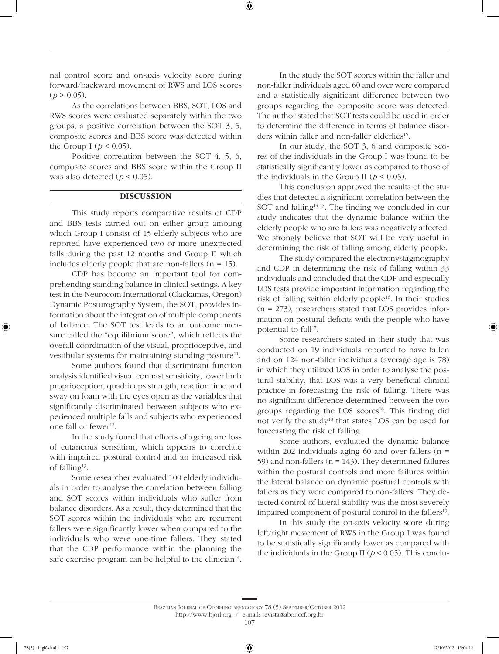nal control score and on-axis velocity score during forward/backward movement of RWS and LOS scores  $(p > 0.05)$ .

As the correlations between BBS, SOT, LOS and RWS scores were evaluated separately within the two groups, a positive correlation between the SOT 3, 5, composite scores and BBS score was detected within the Group I ( $p < 0.05$ ).

Positive correlation between the SOT 4, 5, 6, composite scores and BBS score within the Group II was also detected  $(p < 0.05)$ .

### **DISCUSSION**

This study reports comparative results of CDP and BBS tests carried out on either group amoung which Group I consist of 15 elderly subjects who are reported have experienced two or more unexpected falls during the past 12 months and Group II which includes elderly people that are non-fallers  $(n = 15)$ .

CDP has become an important tool for comprehending standing balance in clinical settings. A key test in the Neurocom International (Clackamas, Oregon) Dynamic Posturography System, the SOT, provides information about the integration of multiple components of balance. The SOT test leads to an outcome measure called the "equilibrium score", which reflects the overall coordination of the visual, proprioceptive, and vestibular systems for maintaining standing posture $11$ .

Some authors found that discriminant function analysis identified visual contrast sensitivity, lower limb proprioception, quadriceps strength, reaction time and sway on foam with the eyes open as the variables that significantly discriminated between subjects who experienced multiple falls and subjects who experienced one fall or fewer<sup>12</sup>.

In the study found that effects of ageing are loss of cutaneous sensation, which appears to correlate with impaired postural control and an increased risk of falling13.

Some researcher evaluated 100 elderly individuals in order to analyse the correlation between falling and SOT scores within individuals who suffer from balance disorders. As a result, they determined that the SOT scores within the individuals who are recurrent fallers were significantly lower when compared to the individuals who were one-time fallers. They stated that the CDP performance within the planning the safe exercise program can be helpful to the clinician $14$ .

In the study the SOT scores within the faller and non-faller individuals aged 60 and over were compared and a statistically significant difference between two groups regarding the composite score was detected. The author stated that SOT tests could be used in order to determine the difference in terms of balance disorders within faller and non-faller elderlies<sup>15</sup>.

In our study, the SOT 3, 6 and composite scores of the individuals in the Group I was found to be statistically significantly lower as compared to those of the individuals in the Group II ( $p < 0.05$ ).

This conclusion approved the results of the studies that detected a significant correlation between the SOT and falling<sup>14,15</sup>. The finding we concluded in our study indicates that the dynamic balance within the elderly people who are fallers was negatively affected. We strongly believe that SOT will be very useful in determining the risk of falling among elderly people.

The study compared the electronystagmography and CDP in determining the risk of falling within 33 individuals and concluded that the CDP and especially LOS tests provide important information regarding the risk of falling within elderly people<sup>16</sup>. In their studies  $(n = 273)$ , researchers stated that LOS provides information on postural deficits with the people who have potential to fall<sup>17</sup>.

Some researchers stated in their study that was conducted on 19 individuals reported to have fallen and on 124 non-faller individuals (average age is 78) in which they utilized LOS in order to analyse the postural stability, that LOS was a very beneficial clinical practice in forecasting the risk of falling. There was no significant difference determined between the two groups regarding the LOS scores<sup>18</sup>. This finding did not verify the study<sup>18</sup> that states LOS can be used for forecasting the risk of falling.

Some authors, evaluated the dynamic balance within 202 individuals aging 60 and over fallers ( $n =$ 59) and non-fallers ( $n = 143$ ). They determined failures within the postural controls and more failures within the lateral balance on dynamic postural controls with fallers as they were compared to non-fallers. They detected control of lateral stability was the most severely impaired component of postural control in the fallers<sup>19</sup>.

In this study the on-axis velocity score during left/right movement of RWS in the Group I was found to be statistically significantly lower as compared with the individuals in the Group II ( $p < 0.05$ ). This conclu-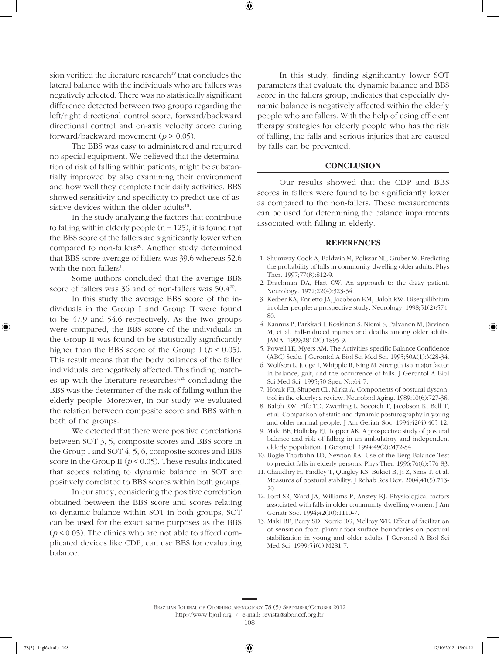sion verified the literature research<sup>19</sup> that concludes the lateral balance with the individuals who are fallers was negatively affected. There was no statistically significant difference detected between two groups regarding the left/right directional control score, forward/backward directional control and on-axis velocity score during forward/backward movement (*p* > 0.05).

The BBS was easy to administered and required no special equipment. We believed that the determination of risk of falling within patients, might be substantially improved by also examining their environment and how well they complete their daily activities. BBS showed sensitivity and specificity to predict use of assistive devices within the older adults<sup>10</sup>.

In the study analyzing the factors that contribute to falling within elderly people ( $n = 125$ ), it is found that the BBS score of the fallers are significantly lower when compared to non-fallers<sup>20</sup>. Another study determined that BBS score average of fallers was 39.6 whereas 52.6 with the non-fallers<sup>1</sup>.

Some authors concluded that the average BBS score of fallers was  $36$  and of non-fallers was  $50.4^{20}$ .

In this study the average BBS score of the individuals in the Group I and Group II were found to be 47.9 and 54.6 respectively. As the two groups were compared, the BBS score of the individuals in the Group II was found to be statistically significantly higher than the BBS score of the Group I ( $p < 0.05$ ). This result means that the body balances of the faller individuals, are negatively affected. This finding matches up with the literature researches<sup>1,20</sup> concluding the BBS was the determiner of the risk of falling within the elderly people. Moreover, in our study we evaluated the relation between composite score and BBS within both of the groups.

We detected that there were positive correlations between SOT 3, 5, composite scores and BBS score in the Group I and SOT 4, 5, 6, composite scores and BBS score in the Group II ( $p < 0.05$ ). These results indicated that scores relating to dynamic balance in SOT are positively correlated to BBS scores within both groups.

In our study, considering the positive correlation obtained between the BBS score and scores relating to dynamic balance within SOT in both groups, SOT can be used for the exact same purposes as the BBS  $(p < 0.05)$ . The clinics who are not able to afford complicated devices like CDP, can use BBS for evaluating balance.

In this study, finding significantly lower SOT parameters that evaluate the dynamic balance and BBS score in the fallers group; indicates that especially dynamic balance is negatively affected within the elderly people who are fallers. With the help of using efficient therapy strategies for elderly people who has the risk of falling, the falls and serious injuries that are caused by falls can be prevented.

## **CONCLUSION**

Our results showed that the CDP and BBS scores in fallers were found to be significiantly lower as compared to the non-fallers. These measurements can be used for determining the balance impairments associated with falling in elderly.

#### **REFERENCES**

- 1. Shumway-Cook A, Baldwin M, Polissar NL, Gruber W. Predicting the probability of falls in community-dwelling older adults. Phys Ther. 1997;77(8):812-9.
- 2. Drachman DA, Hart CW. An approach to the dizzy patient. Neurology. 1972;22(4):323-34.
- 3. Kerber KA, Enrietto JA, Jacobson KM, Baloh RW. Disequilibrium in older people: a prospective study. Neurology. 1998;51(2):574- 80.
- 4. Kannus P, Parkkari J, Koskinen S. Niemi S, Palvanen M, Järvinen M, et al. Fall-induced injuries and deaths among older adults. JAMA. 1999;281(20):1895-9.
- 5. Powell LE, Myers AM. The Activities-specific Balance Confidence (ABC) Scale. J Gerontol A Biol Sci Med Sci. 1995;50A(1):M28-34.
- 6. Wolfson L, Judge J, Whipple R, King M. Strength is a major factor in balance, gait, and the occurrence of falls. J Gerontol A Biol Sci Med Sci. 1995;50 Spec No:64-7.
- 7. Horak FB, Shupert CL, Mirka A. Components of postural dyscontrol in the elderly: a review. Neurobiol Aging. 1989;10(6):727-38.
- 8. Baloh RW, Fife TD, Zwerling L, Socotch T, Jacobson K, Bell T, et al. Comparison of static and dynamic posturography in young and older normal people. J Am Geriatr Soc. 1994;42(4):405-12.
- 9. Maki BE, Holliday PJ, Topper AK. A prospective study of postural balance and risk of falling in an ambulatory and independent elderly population. J Gerontol. 1994;49(2):M72-84.
- 10. Bogle Thorbahn LD, Newton RA. Use of the Berg Balance Test to predict falls in elderly persons. Phys Ther. 1996;76(6):576-83.
- 11. Chaudhry H, Findley T, Quigley KS, Bukiet B, Ji Z, Sims T, et al. Measures of postural stability. J Rehab Res Dev. 2004;41(5):713- 20.
- 12. Lord SR, Ward JA, Williams P, Anstey KJ. Physiological factors associated with falls in older community-dwelling women. J Am Geriatr Soc. 1994;42(10):1110-7.
- 13. Maki BE, Perry SD, Norrie RG, Mcllroy WE. Effect of facilitation of sensation from plantar foot-surface boundaries on postural stabilization in young and older adults. J Gerontol A Biol Sci Med Sci. 1999;54(6):M281-7.

#### Brazilian Journal of Otorhinolaryngology 78 (5) September/October 2012 http://www.bjorl.org / e-mail: revista@aborlccf.org.br